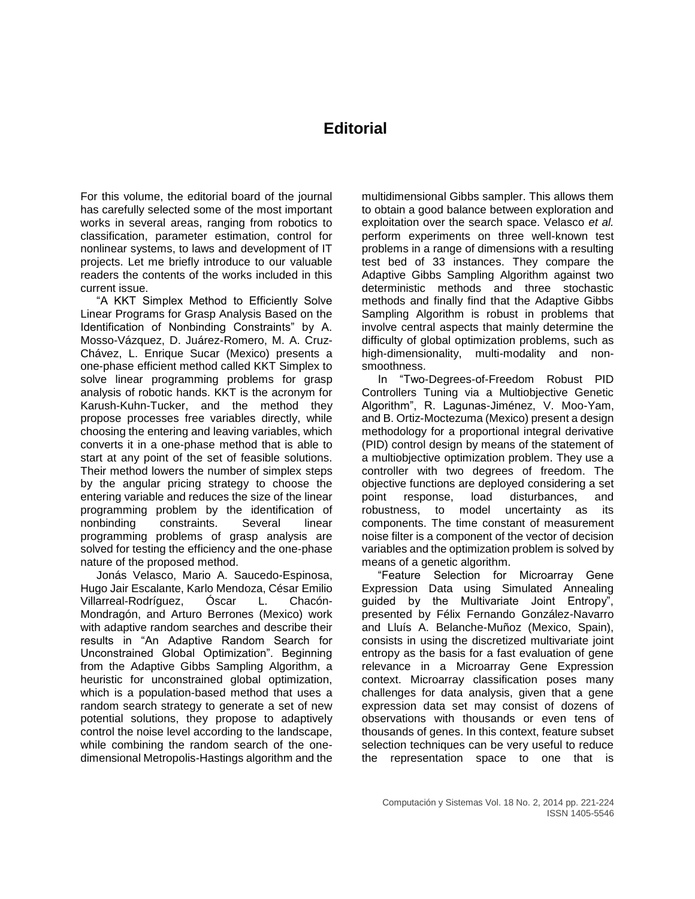## **Editorial**

For this volume, the editorial board of the journal has carefully selected some of the most important works in several areas, ranging from robotics to classification, parameter estimation, control for nonlinear systems, to laws and development of IT projects. Let me briefly introduce to our valuable readers the contents of the works included in this current issue.

"A KKT Simplex Method to Efficiently Solve Linear Programs for Grasp Analysis Based on the Identification of Nonbinding Constraints" by A. Mosso-Vázquez, D. Juárez-Romero, M. A. Cruz-Chávez, L. Enrique Sucar (Mexico) presents a one-phase efficient method called KKT Simplex to solve linear programming problems for grasp analysis of robotic hands. KKT is the acronym for Karush-Kuhn-Tucker, and the method they propose processes free variables directly, while choosing the entering and leaving variables, which converts it in a one-phase method that is able to start at any point of the set of feasible solutions. Their method lowers the number of simplex steps by the angular pricing strategy to choose the entering variable and reduces the size of the linear programming problem by the identification of nonbinding constraints. Several linear programming problems of grasp analysis are solved for testing the efficiency and the one-phase nature of the proposed method.

Jonás Velasco, Mario A. Saucedo-Espinosa, Hugo Jair Escalante, Karlo Mendoza, César Emilio<br>Villarreal-Rodríguez. Óscar L. Chacón-Villarreal-Rodríguez, Óscar L. Mondragón, and Arturo Berrones (Mexico) work with adaptive random searches and describe their results in "An Adaptive Random Search for Unconstrained Global Optimization". Beginning from the Adaptive Gibbs Sampling Algorithm, a heuristic for unconstrained global optimization, which is a population-based method that uses a random search strategy to generate a set of new potential solutions, they propose to adaptively control the noise level according to the landscape, while combining the random search of the onedimensional Metropolis-Hastings algorithm and the

multidimensional Gibbs sampler. This allows them to obtain a good balance between exploration and exploitation over the search space. Velasco *et al.*  perform experiments on three well-known test problems in a range of dimensions with a resulting test bed of 33 instances. They compare the Adaptive Gibbs Sampling Algorithm against two deterministic methods and three stochastic methods and finally find that the Adaptive Gibbs Sampling Algorithm is robust in problems that involve central aspects that mainly determine the difficulty of global optimization problems, such as high-dimensionality, multi-modality and nonsmoothness.

In "Two-Degrees-of-Freedom Robust PID Controllers Tuning via a Multiobjective Genetic Algorithm", R. Lagunas-Jiménez, V. Moo-Yam, and B. Ortiz-Moctezuma (Mexico) present a design methodology for a proportional integral derivative (PID) control design by means of the statement of a multiobjective optimization problem. They use a controller with two degrees of freedom. The objective functions are deployed considering a set point response, load disturbances, and robustness, to model uncertainty as its components. The time constant of measurement noise filter is a component of the vector of decision variables and the optimization problem is solved by means of a genetic algorithm.

"Feature Selection for Microarray Gene Expression Data using Simulated Annealing guided by the Multivariate Joint Entropy", presented by Félix Fernando González-Navarro and Lluís A. Belanche-Muñoz (Mexico, Spain), consists in using the discretized multivariate joint entropy as the basis for a fast evaluation of gene relevance in a Microarray Gene Expression context. Microarray classification poses many challenges for data analysis, given that a gene expression data set may consist of dozens of observations with thousands or even tens of thousands of genes. In this context, feature subset selection techniques can be very useful to reduce the representation space to one that is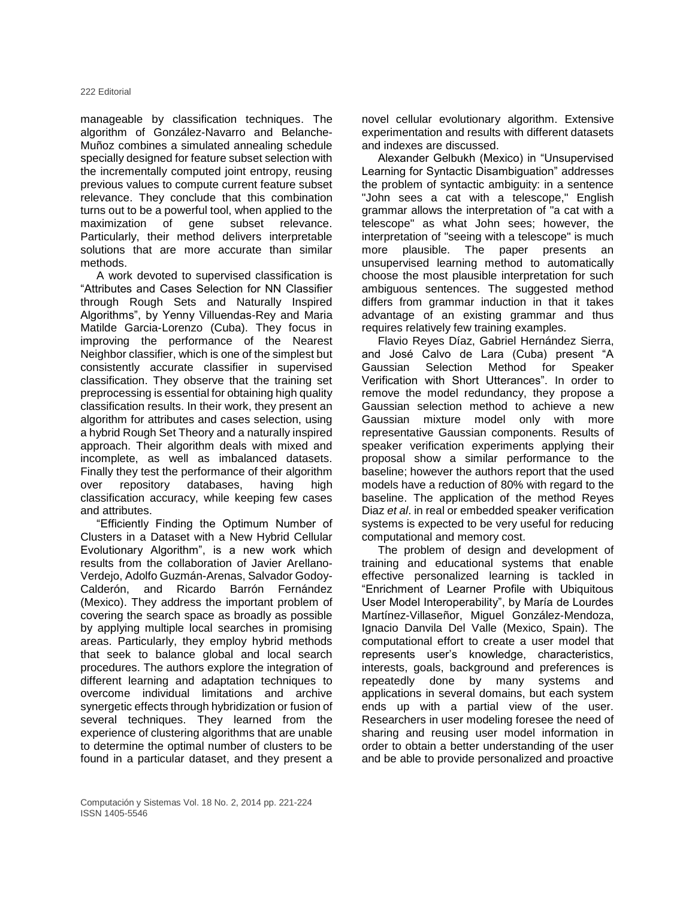manageable by classification techniques. The algorithm of González-Navarro and Belanche-Muñoz combines a simulated annealing schedule specially designed for feature subset selection with the incrementally computed joint entropy, reusing previous values to compute current feature subset relevance. They conclude that this combination turns out to be a powerful tool, when applied to the maximization of gene subset relevance. Particularly, their method delivers interpretable solutions that are more accurate than similar methods.

A work devoted to supervised classification is "Attributes and Cases Selection for NN Classifier through Rough Sets and Naturally Inspired Algorithms", by Yenny Villuendas-Rey and Maria Matilde Garcia-Lorenzo (Cuba). They focus in improving the performance of the Nearest Neighbor classifier, which is one of the simplest but consistently accurate classifier in supervised classification. They observe that the training set preprocessing is essential for obtaining high quality classification results. In their work, they present an algorithm for attributes and cases selection, using a hybrid Rough Set Theory and a naturally inspired approach. Their algorithm deals with mixed and incomplete, as well as imbalanced datasets. Finally they test the performance of their algorithm over repository databases, having high classification accuracy, while keeping few cases and attributes.

"Efficiently Finding the Optimum Number of Clusters in a Dataset with a New Hybrid Cellular Evolutionary Algorithm", is a new work which results from the collaboration of Javier Arellano-Verdejo, Adolfo Guzmán-Arenas, Salvador Godoy-Calderón, and Ricardo Barrón Fernández (Mexico). They address the important problem of covering the search space as broadly as possible by applying multiple local searches in promising areas. Particularly, they employ hybrid methods that seek to balance global and local search procedures. The authors explore the integration of different learning and adaptation techniques to overcome individual limitations and archive synergetic effects through hybridization or fusion of several techniques. They learned from the experience of clustering algorithms that are unable to determine the optimal number of clusters to be found in a particular dataset, and they present a

novel cellular evolutionary algorithm. Extensive experimentation and results with different datasets and indexes are discussed.

Alexander Gelbukh (Mexico) in "Unsupervised Learning for Syntactic Disambiguation" addresses the problem of syntactic ambiguity: in a sentence "John sees a cat with a telescope," English grammar allows the interpretation of "a cat with a telescope" as what John sees; however, the interpretation of "seeing with a telescope" is much more plausible. The paper presents an unsupervised learning method to automatically choose the most plausible interpretation for such ambiguous sentences. The suggested method differs from grammar induction in that it takes advantage of an existing grammar and thus requires relatively few training examples.

Flavio Reyes Díaz, Gabriel Hernández Sierra, and José Calvo de Lara (Cuba) present "A Gaussian Selection Method for Speaker Verification with Short Utterances". In order to remove the model redundancy, they propose a Gaussian selection method to achieve a new Gaussian mixture model only with more representative Gaussian components. Results of speaker verification experiments applying their proposal show a similar performance to the baseline; however the authors report that the used models have a reduction of 80% with regard to the baseline. The application of the method Reyes Diaz *et al*. in real or embedded speaker verification systems is expected to be very useful for reducing computational and memory cost.

The problem of design and development of training and educational systems that enable effective personalized learning is tackled in "Enrichment of Learner Profile with Ubiquitous User Model Interoperability", by María de Lourdes Martínez-Villaseñor, Miguel González-Mendoza, Ignacio Danvila Del Valle (Mexico, Spain). The computational effort to create a user model that represents user's knowledge, characteristics, interests, goals, background and preferences is repeatedly done by many systems and applications in several domains, but each system ends up with a partial view of the user. Researchers in user modeling foresee the need of sharing and reusing user model information in order to obtain a better understanding of the user and be able to provide personalized and proactive